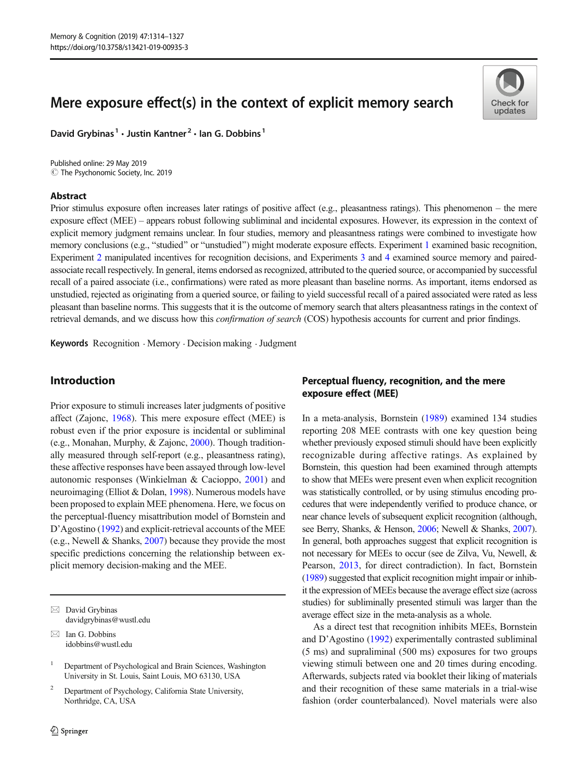# Mere exposure effect(s) in the context of explicit memory search

David Grybinas<sup>1</sup> · Justin Kantner<sup>2</sup> · Ian G. Dobbins<sup>1</sup>

 $\circled{c}$  The Psychonomic Society, Inc. 2019 Published online: 29 May 2019

## Abstract



Prior stimulus exposure often increases later ratings of positive affect (e.g., pleasantness ratings). This phenomenon – the mere exposure effect (MEE) – appears robust following subliminal and incidental exposures. However, its expression in the context of explicit memory judgment remains unclear. In four studies, memory and pleasantness ratings were combined to investigate how memory conclusions (e.g., "studied" or "unstudied") might moderate exposure effects. Experiment [1](#page-1-0) examined basic recognition, Experiment [2](#page-3-0) manipulated incentives for recognition decisions, and Experiments [3](#page-6-0) and [4](#page-9-0) examined source memory and pairedassociate recall respectively. In general, items endorsed as recognized, attributed to the queried source, or accompanied by successful recall of a paired associate (i.e., confirmations) were rated as more pleasant than baseline norms. As important, items endorsed as unstudied, rejected as originating from a queried source, or failing to yield successful recall of a paired associated were rated as less pleasant than baseline norms. This suggests that it is the outcome of memory search that alters pleasantness ratings in the context of retrieval demands, and we discuss how this confirmation of search (COS) hypothesis accounts for current and prior findings.

Keywords Recognition . Memory . Decision making .Judgment

# Introduction

Prior exposure to stimuli increases later judgments of positive affect (Zajonc, [1968](#page-13-0)). This mere exposure effect (MEE) is robust even if the prior exposure is incidental or subliminal (e.g., Monahan, Murphy, & Zajonc, [2000](#page-13-0)). Though traditionally measured through self-report (e.g., pleasantness rating), these affective responses have been assayed through low-level autonomic responses (Winkielman & Cacioppo, [2001\)](#page-13-0) and neuroimaging (Elliot & Dolan, [1998\)](#page-13-0). Numerous models have been proposed to explain MEE phenomena. Here, we focus on the perceptual-fluency misattribution model of Bornstein and D'Agostino [\(1992\)](#page-12-0) and explicit-retrieval accounts of the MEE (e.g., Newell & Shanks, [2007\)](#page-13-0) because they provide the most specific predictions concerning the relationship between explicit memory decision-making and the MEE.

 $\boxtimes$  David Grybinas [davidgrybinas@wustl.edu](mailto:davidgrybinas@wustl.edu)

 $\boxtimes$  Ian G. Dobbins [idobbins@wustl.edu](mailto:idobbins@wustl.edu)

<sup>1</sup> Department of Psychological and Brain Sciences, Washington University in St. Louis, Saint Louis, MO 63130, USA

<sup>2</sup> Department of Psychology, California State University, Northridge, CA, USA

# Perceptual fluency, recognition, and the mere exposure effect (MEE)

In a meta-analysis, Bornstein [\(1989\)](#page-12-0) examined 134 studies reporting 208 MEE contrasts with one key question being whether previously exposed stimuli should have been explicitly recognizable during affective ratings. As explained by Bornstein, this question had been examined through attempts to show that MEEs were present even when explicit recognition was statistically controlled, or by using stimulus encoding procedures that were independently verified to produce chance, or near chance levels of subsequent explicit recognition (although, see Berry, Shanks, & Henson, [2006](#page-12-0); Newell & Shanks, [2007\)](#page-13-0). In general, both approaches suggest that explicit recognition is not necessary for MEEs to occur (see de Zilva, Vu, Newell, & Pearson, [2013,](#page-12-0) for direct contradiction). In fact, Bornstein [\(1989](#page-12-0)) suggested that explicit recognition might impair or inhibit the expression of MEEs because the average effect size (across studies) for subliminally presented stimuli was larger than the average effect size in the meta-analysis as a whole.

As a direct test that recognition inhibits MEEs, Bornstein and D'Agostino ([1992](#page-12-0)) experimentally contrasted subliminal (5 ms) and supraliminal (500 ms) exposures for two groups viewing stimuli between one and 20 times during encoding. Afterwards, subjects rated via booklet their liking of materials and their recognition of these same materials in a trial-wise fashion (order counterbalanced). Novel materials were also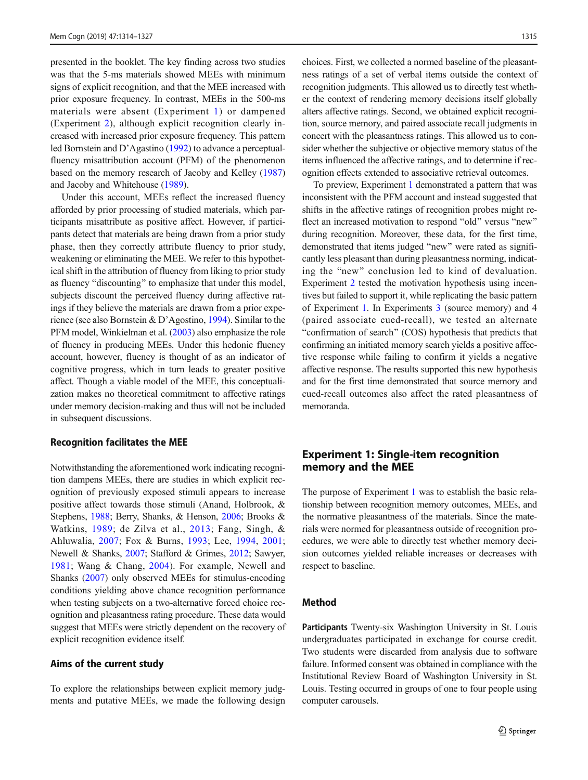<span id="page-1-0"></span>presented in the booklet. The key finding across two studies was that the 5-ms materials showed MEEs with minimum signs of explicit recognition, and that the MEE increased with prior exposure frequency. In contrast, MEEs in the 500-ms materials were absent (Experiment 1) or dampened (Experiment [2](#page-3-0)), although explicit recognition clearly increased with increased prior exposure frequency. This pattern led Bornstein and D'Agastino [\(1992\)](#page-12-0) to advance a perceptualfluency misattribution account (PFM) of the phenomenon based on the memory research of Jacoby and Kelley [\(1987\)](#page-13-0) and Jacoby and Whitehouse [\(1989\)](#page-13-0).

Under this account, MEEs reflect the increased fluency afforded by prior processing of studied materials, which participants misattribute as positive affect. However, if participants detect that materials are being drawn from a prior study phase, then they correctly attribute fluency to prior study, weakening or eliminating the MEE. We refer to this hypothetical shift in the attribution of fluency from liking to prior study as fluency "discounting" to emphasize that under this model, subjects discount the perceived fluency during affective ratings if they believe the materials are drawn from a prior experience (see also Bornstein & D'Agostino, [1994](#page-12-0)). Similar to the PFM model, Winkielman et al. ([2003](#page-13-0)) also emphasize the role of fluency in producing MEEs. Under this hedonic fluency account, however, fluency is thought of as an indicator of cognitive progress, which in turn leads to greater positive affect. Though a viable model of the MEE, this conceptualization makes no theoretical commitment to affective ratings under memory decision-making and thus will not be included in subsequent discussions.

#### Recognition facilitates the MEE

Notwithstanding the aforementioned work indicating recognition dampens MEEs, there are studies in which explicit recognition of previously exposed stimuli appears to increase positive affect towards those stimuli (Anand, Holbrook, & Stephens, [1988](#page-12-0); Berry, Shanks, & Henson, [2006](#page-12-0); Brooks & Watkins, [1989](#page-12-0); de Zilva et al., [2013;](#page-12-0) Fang, Singh, & Ahluwalia, [2007;](#page-13-0) Fox & Burns, [1993](#page-13-0); Lee, [1994](#page-13-0), [2001](#page-13-0); Newell & Shanks, [2007;](#page-13-0) Stafford & Grimes, [2012;](#page-13-0) Sawyer, [1981;](#page-13-0) Wang & Chang, [2004\)](#page-13-0). For example, Newell and Shanks [\(2007](#page-13-0)) only observed MEEs for stimulus-encoding conditions yielding above chance recognition performance when testing subjects on a two-alternative forced choice recognition and pleasantness rating procedure. These data would suggest that MEEs were strictly dependent on the recovery of explicit recognition evidence itself.

#### Aims of the current study

To explore the relationships between explicit memory judgments and putative MEEs, we made the following design choices. First, we collected a normed baseline of the pleasantness ratings of a set of verbal items outside the context of recognition judgments. This allowed us to directly test whether the context of rendering memory decisions itself globally alters affective ratings. Second, we obtained explicit recognition, source memory, and paired associate recall judgments in concert with the pleasantness ratings. This allowed us to consider whether the subjective or objective memory status of the items influenced the affective ratings, and to determine if recognition effects extended to associative retrieval outcomes.

To preview, Experiment 1 demonstrated a pattern that was inconsistent with the PFM account and instead suggested that shifts in the affective ratings of recognition probes might reflect an increased motivation to respond "old" versus "new" during recognition. Moreover, these data, for the first time, demonstrated that items judged "new" were rated as significantly less pleasant than during pleasantness norming, indicating the "new" conclusion led to kind of devaluation. Experiment [2](#page-3-0) tested the motivation hypothesis using incentives but failed to support it, while replicating the basic pattern of Experiment 1. In Experiments [3](#page-6-0) (source memory) and 4 (paired associate cued-recall), we tested an alternate "confirmation of search" (COS) hypothesis that predicts that confirming an initiated memory search yields a positive affective response while failing to confirm it yields a negative affective response. The results supported this new hypothesis and for the first time demonstrated that source memory and cued-recall outcomes also affect the rated pleasantness of memoranda.

# Experiment 1: Single-item recognition memory and the MEE

The purpose of Experiment 1 was to establish the basic relationship between recognition memory outcomes, MEEs, and the normative pleasantness of the materials. Since the materials were normed for pleasantness outside of recognition procedures, we were able to directly test whether memory decision outcomes yielded reliable increases or decreases with respect to baseline.

# Method

Participants Twenty-six Washington University in St. Louis undergraduates participated in exchange for course credit. Two students were discarded from analysis due to software failure. Informed consent was obtained in compliance with the Institutional Review Board of Washington University in St. Louis. Testing occurred in groups of one to four people using computer carousels.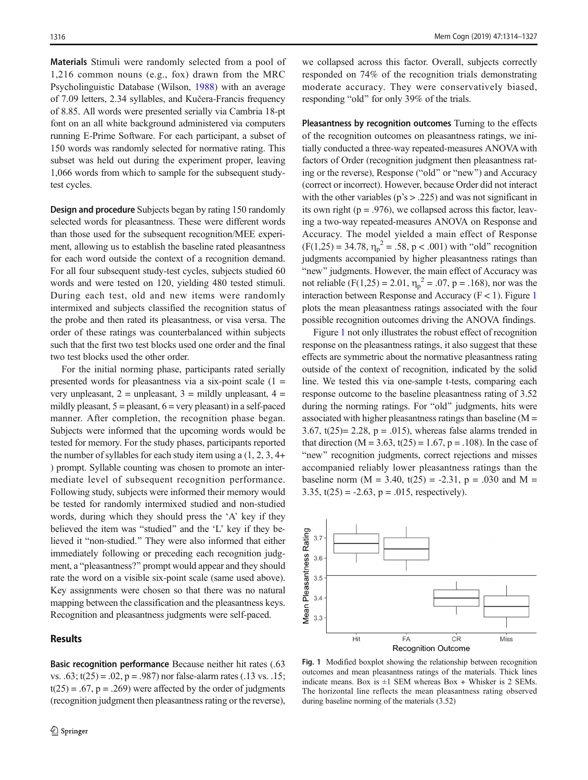<span id="page-2-0"></span>Materials Stimuli were randomly selected from a pool of 1,216 common nouns (e.g., fox) drawn from the MRC Psycholinguistic Database (Wilson, [1988](#page-13-0)) with an average of 7.09 letters, 2.34 syllables, and Kučera-Francis frequency of 8.85. All words were presented serially via Cambria 18-pt font on an all white background administered via computers running E-Prime Software. For each participant, a subset of 150 words was randomly selected for normative rating. This subset was held out during the experiment proper, leaving 1,066 words from which to sample for the subsequent studytest cycles.

Design and procedure Subjects began by rating 150 randomly selected words for pleasantness. These were different words than those used for the subsequent recognition/MEE experiment, allowing us to establish the baseline rated pleasantness for each word outside the context of a recognition demand. For all four subsequent study-test cycles, subjects studied 60 words and were tested on 120, yielding 480 tested stimuli. During each test, old and new items were randomly intermixed and subjects classified the recognition status of the probe and then rated its pleasantness, or visa versa. The order of these ratings was counterbalanced within subjects such that the first two test blocks used one order and the final two test blocks used the other order.

For the initial norming phase, participants rated serially presented words for pleasantness via a six-point scale  $(1 =$ very unpleasant,  $2 =$  unpleasant,  $3 =$  mildly unpleasant,  $4 =$ mildly pleasant,  $5 =$  pleasant,  $6 =$  very pleasant) in a self-paced manner. After completion, the recognition phase began. Subjects were informed that the upcoming words would be tested for memory. For the study phases, participants reported the number of syllables for each study item using a (1, 2, 3, 4+ ) prompt. Syllable counting was chosen to promote an intermediate level of subsequent recognition performance. Following study, subjects were informed their memory would be tested for randomly intermixed studied and non-studied words, during which they should press the 'A' key if they believed the item was "studied" and the 'L' key if they believed it "non-studied." They were also informed that either immediately following or preceding each recognition judgment, a "pleasantness?" prompt would appear and they should rate the word on a visible six-point scale (same used above). Key assignments were chosen so that there was no natural mapping between the classification and the pleasantness keys. Recognition and pleasantness judgments were self-paced.

# Results

Basic recognition performance Because neither hit rates (.63 vs.  $.63$ ;  $t(25) = .02$ ,  $p = .987$ ) nor false-alarm rates ( $.13$  vs.  $.15$ ;  $t(25) = .67$ ,  $p = .269$ ) were affected by the order of judgments (recognition judgment then pleasantness rating or the reverse),

we collapsed across this factor. Overall, subjects correctly responded on 74% of the recognition trials demonstrating moderate accuracy. They were conservatively biased, responding "old" for only 39% of the trials.

Pleasantness by recognition outcomes Turning to the effects of the recognition outcomes on pleasantness ratings, we initially conducted a three-way repeated-measures ANOVA with factors of Order (recognition judgment then pleasantness rating or the reverse), Response ("old" or "new") and Accuracy (correct or incorrect). However, because Order did not interact with the other variables ( $p's > .225$ ) and was not significant in its own right ( $p = .976$ ), we collapsed across this factor, leaving a two-way repeated-measures ANOVA on Response and Accuracy. The model yielded a main effect of Response  $(F(1,25) = 34.78, \eta_p^2 = .58, p < .001)$  with "old" recognition judgments accompanied by higher pleasantness ratings than "new" judgments. However, the main effect of Accuracy was not reliable (F(1,25) = 2.01,  $\eta_p^2$  = .07, p = .168), nor was the interaction between Response and Accuracy  $(F < 1)$ . Figure 1 plots the mean pleasantness ratings associated with the four possible recognition outcomes driving the ANOVA findings.

Figure 1 not only illustrates the robust effect of recognition response on the pleasantness ratings, it also suggest that these effects are symmetric about the normative pleasantness rating outside of the context of recognition, indicated by the solid line. We tested this via one-sample t-tests, comparing each response outcome to the baseline pleasantness rating of 3.52 during the norming ratings. For "old" judgments, hits were associated with higher pleasantness ratings than baseline  $(M =$ 3.67,  $t(25)= 2.28$ ,  $p = .015$ ), whereas false alarms trended in that direction ( $M = 3.63$ , t(25) = 1.67, p = .108). In the case of "new" recognition judgments, correct rejections and misses accompanied reliably lower pleasantness ratings than the baseline norm (M = 3.40, t(25) = -2.31, p = .030 and M = 3.35,  $t(25) = -2.63$ ,  $p = .015$ , respectively).



Fig. 1 Modified boxplot showing the relationship between recognition outcomes and mean pleasantness ratings of the materials. Thick lines indicate means. Box is  $\pm 1$  SEM whereas Box + Whisker is 2 SEMs. The horizontal line reflects the mean pleasantness rating observed during baseline norming of the materials (3.52)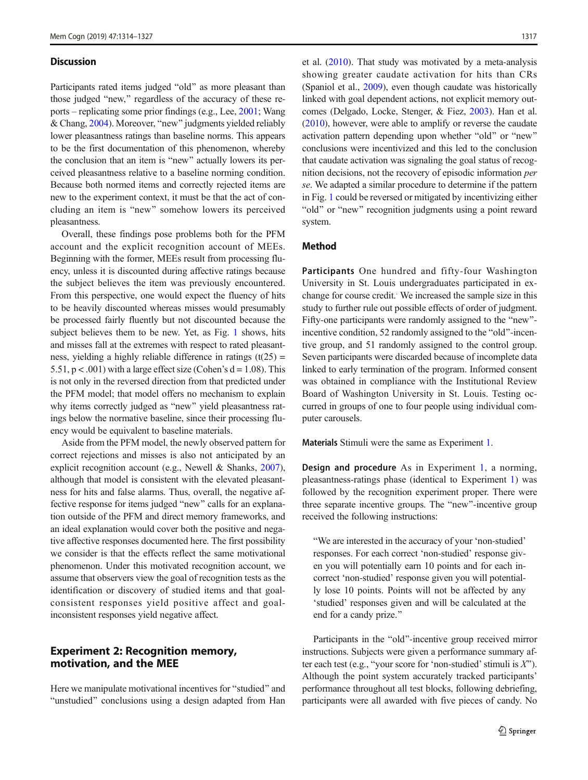#### <span id="page-3-0"></span>**Discussion**

Participants rated items judged "old" as more pleasant than those judged "new," regardless of the accuracy of these reports – replicating some prior findings (e.g., Lee, [2001;](#page-13-0) Wang & Chang, [2004\)](#page-13-0). Moreover, "new" judgments yielded reliably lower pleasantness ratings than baseline norms. This appears to be the first documentation of this phenomenon, whereby the conclusion that an item is "new" actually lowers its perceived pleasantness relative to a baseline norming condition. Because both normed items and correctly rejected items are new to the experiment context, it must be that the act of concluding an item is "new" somehow lowers its perceived pleasantness.

Overall, these findings pose problems both for the PFM account and the explicit recognition account of MEEs. Beginning with the former, MEEs result from processing fluency, unless it is discounted during affective ratings because the subject believes the item was previously encountered. From this perspective, one would expect the fluency of hits to be heavily discounted whereas misses would presumably be processed fairly fluently but not discounted because the subject believes them to be new. Yet, as Fig. [1](#page-2-0) shows, hits and misses fall at the extremes with respect to rated pleasantness, yielding a highly reliable difference in ratings  $(t(25) =$ 5.51,  $p < .001$ ) with a large effect size (Cohen's  $d = 1.08$ ). This is not only in the reversed direction from that predicted under the PFM model; that model offers no mechanism to explain why items correctly judged as "new" yield pleasantness ratings below the normative baseline, since their processing fluency would be equivalent to baseline materials.

Aside from the PFM model, the newly observed pattern for correct rejections and misses is also not anticipated by an explicit recognition account (e.g., Newell & Shanks, [2007\)](#page-13-0), although that model is consistent with the elevated pleasantness for hits and false alarms. Thus, overall, the negative affective response for items judged "new" calls for an explanation outside of the PFM and direct memory frameworks, and an ideal explanation would cover both the positive and negative affective responses documented here. The first possibility we consider is that the effects reflect the same motivational phenomenon. Under this motivated recognition account, we assume that observers view the goal of recognition tests as the identification or discovery of studied items and that goalconsistent responses yield positive affect and goalinconsistent responses yield negative affect.

# Experiment 2: Recognition memory, motivation, and the MEE

Here we manipulate motivational incentives for "studied" and "unstudied" conclusions using a design adapted from Han et al. ([2010\)](#page-13-0). That study was motivated by a meta-analysis showing greater caudate activation for hits than CRs (Spaniol et al., [2009\)](#page-13-0), even though caudate was historically linked with goal dependent actions, not explicit memory outcomes (Delgado, Locke, Stenger, & Fiez, [2003](#page-13-0)). Han et al. [\(2010\)](#page-13-0), however, were able to amplify or reverse the caudate activation pattern depending upon whether "old" or "new" conclusions were incentivized and this led to the conclusion that caudate activation was signaling the goal status of recognition decisions, not the recovery of episodic information per se. We adapted a similar procedure to determine if the pattern in Fig. [1](#page-2-0) could be reversed or mitigated by incentivizing either "old" or "new" recognition judgments using a point reward system.

## Method

Participants One hundred and fifty-four Washington University in St. Louis undergraduates participated in exchange for course credit. We increased the sample size in this study to further rule out possible effects of order of judgment. Fifty-one participants were randomly assigned to the "new"incentive condition, 52 randomly assigned to the "old"-incentive group, and 51 randomly assigned to the control group. Seven participants were discarded because of incomplete data linked to early termination of the program. Informed consent was obtained in compliance with the Institutional Review Board of Washington University in St. Louis. Testing occurred in groups of one to four people using individual computer carousels.

Materials Stimuli were the same as Experiment [1](#page-1-0).

Design and procedure As in Experiment [1](#page-1-0), a norming, pleasantness-ratings phase (identical to Experiment [1\)](#page-1-0) was followed by the recognition experiment proper. There were three separate incentive groups. The "new"-incentive group received the following instructions:

"We are interested in the accuracy of your 'non-studied' responses. For each correct 'non-studied' response given you will potentially earn 10 points and for each incorrect 'non-studied' response given you will potentially lose 10 points. Points will not be affected by any 'studied' responses given and will be calculated at the end for a candy prize."

Participants in the "old"-incentive group received mirror instructions. Subjects were given a performance summary after each test (e.g., "your score for 'non-studied' stimuli is  $X$ "). Although the point system accurately tracked participants' performance throughout all test blocks, following debriefing, participants were all awarded with five pieces of candy. No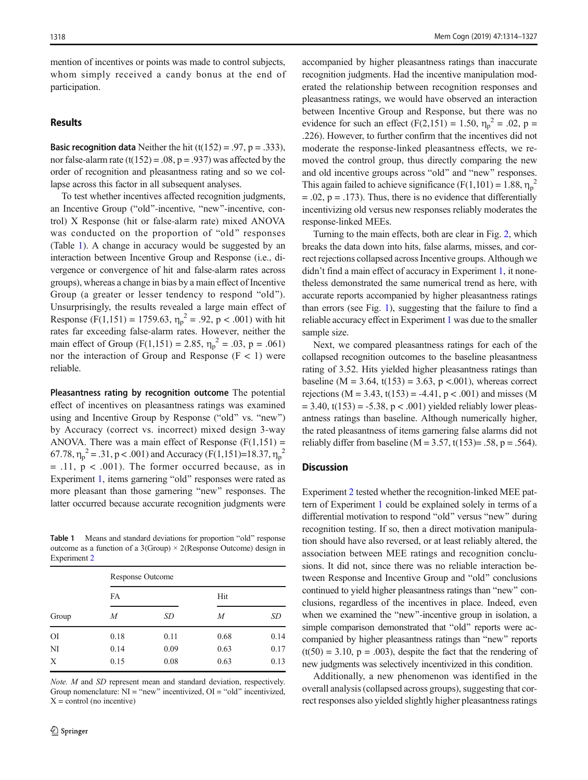mention of incentives or points was made to control subjects, whom simply received a candy bonus at the end of participation.

#### **Results**

**Basic recognition data** Neither the hit  $(t(152) = .97, p = .333)$ , nor false-alarm rate  $(t(152) = .08, p = .937)$  was affected by the order of recognition and pleasantness rating and so we collapse across this factor in all subsequent analyses.

To test whether incentives affected recognition judgments, an Incentive Group ("old"-incentive, "new"-incentive, control) X Response (hit or false-alarm rate) mixed ANOVA was conducted on the proportion of "old" responses (Table 1). A change in accuracy would be suggested by an interaction between Incentive Group and Response (i.e., divergence or convergence of hit and false-alarm rates across groups), whereas a change in bias by a main effect of Incentive Group (a greater or lesser tendency to respond "old"). Unsurprisingly, the results revealed a large main effect of Response (F(1,151) = 1759.63,  $\eta_p^2$  = .92, p < .001) with hit rates far exceeding false-alarm rates. However, neither the main effect of Group (F(1,151) = 2.85,  $\eta_p^2 = .03$ , p = .061) nor the interaction of Group and Response  $(F < 1)$  were reliable.

Pleasantness rating by recognition outcome The potential effect of incentives on pleasantness ratings was examined using and Incentive Group by Response ("old" vs. "new") by Accuracy (correct vs. incorrect) mixed design 3-way ANOVA. There was a main effect of Response  $(F(1,151)) =$ 67.78,  $\eta_p^2 = .31$ , p < .001) and Accuracy (F(1,151)=18.37,  $\eta_p^2$  $=$  .11,  $p < .001$ ). The former occurred because, as in Experiment [1,](#page-1-0) items garnering "old" responses were rated as more pleasant than those garnering "new" responses. The latter occurred because accurate recognition judgments were

Table 1 Means and standard deviations for proportion "old" response outcome as a function of a  $3(Group) \times 2(Response Outcome)$  design in Experiment [2](#page-3-0)

| Group     | <b>Response Outcome</b> |      |      |      |  |  |
|-----------|-------------------------|------|------|------|--|--|
|           | FA                      |      | Hit  |      |  |  |
|           | M                       | SD   | М    | SD   |  |  |
| <b>OI</b> | 0.18                    | 0.11 | 0.68 | 0.14 |  |  |
| NI        | 0.14                    | 0.09 | 0.63 | 0.17 |  |  |
| X         | 0.15                    | 0.08 | 0.63 | 0.13 |  |  |

Note. M and SD represent mean and standard deviation, respectively. Group nomenclature:  $NI = "new"$  incentivized,  $OI = "old"$  incentivized,  $X =$ control (no incentive)

accompanied by higher pleasantness ratings than inaccurate recognition judgments. Had the incentive manipulation moderated the relationship between recognition responses and pleasantness ratings, we would have observed an interaction between Incentive Group and Response, but there was no evidence for such an effect  $(F(2,151) = 1.50, \eta_p^2 = .02, p =$ .226). However, to further confirm that the incentives did not moderate the response-linked pleasantness effects, we removed the control group, thus directly comparing the new and old incentive groups across "old" and "new" responses. This again failed to achieve significance (F(1,101) = 1.88,  $\eta_p^2$  $= .02$ ,  $p = .173$ ). Thus, there is no evidence that differentially incentivizing old versus new responses reliably moderates the response-linked MEEs.

Turning to the main effects, both are clear in Fig. [2](#page-5-0), which breaks the data down into hits, false alarms, misses, and correct rejections collapsed across Incentive groups. Although we didn't find a main effect of accuracy in Experiment [1,](#page-1-0) it nonetheless demonstrated the same numerical trend as here, with accurate reports accompanied by higher pleasantness ratings than errors (see Fig. [1\)](#page-2-0), suggesting that the failure to find a reliable accuracy effect in Experiment [1](#page-1-0) was due to the smaller sample size.

Next, we compared pleasantness ratings for each of the collapsed recognition outcomes to the baseline pleasantness rating of 3.52. Hits yielded higher pleasantness ratings than baseline (M = 3.64, t(153) = 3.63, p < 0.001), whereas correct rejections (M = 3.43, t(153) = -4.41,  $p < .001$ ) and misses (M  $= 3.40$ , t(153) = -5.38, p < .001) yielded reliably lower pleasantness ratings than baseline. Although numerically higher, the rated pleasantness of items garnering false alarms did not reliably differ from baseline (M =  $3.57$ , t(153) = .58, p = .564).

#### **Discussion**

Experiment [2](#page-3-0) tested whether the recognition-linked MEE pattern of Experiment [1](#page-1-0) could be explained solely in terms of a differential motivation to respond "old" versus "new" during recognition testing. If so, then a direct motivation manipulation should have also reversed, or at least reliably altered, the association between MEE ratings and recognition conclusions. It did not, since there was no reliable interaction between Response and Incentive Group and "old" conclusions continued to yield higher pleasantness ratings than "new" conclusions, regardless of the incentives in place. Indeed, even when we examined the "new"-incentive group in isolation, a simple comparison demonstrated that "old" reports were accompanied by higher pleasantness ratings than "new" reports  $(t(50) = 3.10, p = .003)$ , despite the fact that the rendering of new judgments was selectively incentivized in this condition.

Additionally, a new phenomenon was identified in the overall analysis (collapsed across groups), suggesting that correct responses also yielded slightly higher pleasantness ratings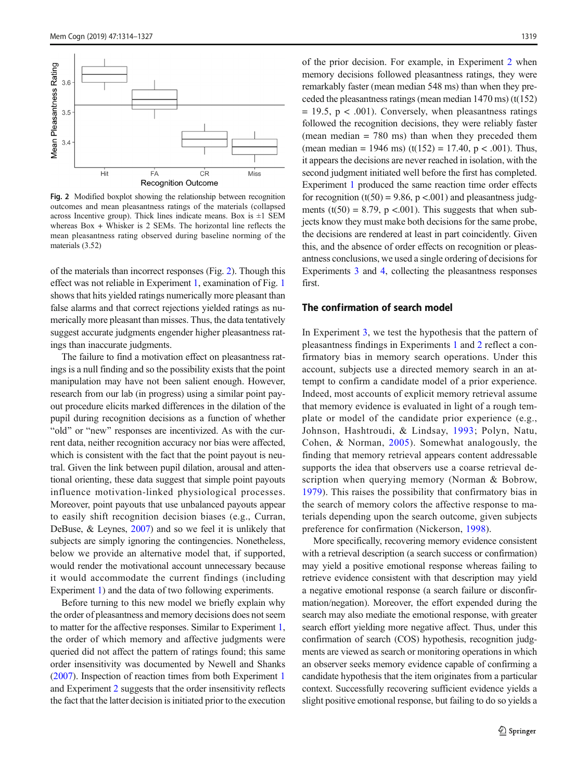<span id="page-5-0"></span>

Fig. 2 Modified boxplot showing the relationship between recognition outcomes and mean pleasantness ratings of the materials (collapsed across Incentive group). Thick lines indicate means. Box is  $\pm 1$  SEM whereas Box + Whisker is 2 SEMs. The horizontal line reflects the mean pleasantness rating observed during baseline norming of the materials (3.52)

of the materials than incorrect responses (Fig. 2). Though this effect was not reliable in Experiment [1,](#page-1-0) examination of Fig. [1](#page-2-0) shows that hits yielded ratings numerically more pleasant than false alarms and that correct rejections yielded ratings as numerically more pleasant than misses. Thus, the data tentatively suggest accurate judgments engender higher pleasantness ratings than inaccurate judgments.

The failure to find a motivation effect on pleasantness ratings is a null finding and so the possibility exists that the point manipulation may have not been salient enough. However, research from our lab (in progress) using a similar point payout procedure elicits marked differences in the dilation of the pupil during recognition decisions as a function of whether "old" or "new" responses are incentivized. As with the current data, neither recognition accuracy nor bias were affected, which is consistent with the fact that the point payout is neutral. Given the link between pupil dilation, arousal and attentional orienting, these data suggest that simple point payouts influence motivation-linked physiological processes. Moreover, point payouts that use unbalanced payouts appear to easily shift recognition decision biases (e.g., Curran, DeBuse, & Leynes, [2007](#page-12-0)) and so we feel it is unlikely that subjects are simply ignoring the contingencies. Nonetheless, below we provide an alternative model that, if supported, would render the motivational account unnecessary because it would accommodate the current findings (including Experiment [1\)](#page-1-0) and the data of two following experiments.

Before turning to this new model we briefly explain why the order of pleasantness and memory decisions does not seem to matter for the affective responses. Similar to Experiment [1,](#page-1-0) the order of which memory and affective judgments were queried did not affect the pattern of ratings found; this same order insensitivity was documented by Newell and Shanks [\(2007\)](#page-13-0). Inspection of reaction times from both Experiment [1](#page-1-0) and Experiment [2](#page-3-0) suggests that the order insensitivity reflects the fact that the latter decision is initiated prior to the execution of the prior decision. For example, in Experiment [2](#page-3-0) when memory decisions followed pleasantness ratings, they were remarkably faster (mean median 548 ms) than when they preceded the pleasantness ratings (mean median 1470 ms) (t(152)  $= 19.5$ ,  $p < .001$ ). Conversely, when pleasantness ratings followed the recognition decisions, they were reliably faster (mean median = 780 ms) than when they preceded them (mean median = 1946 ms) (t(152) = 17.40,  $p < .001$ ). Thus, it appears the decisions are never reached in isolation, with the second judgment initiated well before the first has completed. Experiment [1](#page-1-0) produced the same reaction time order effects for recognition  $(t(50) = 9.86, p < .001)$  and pleasantness judgments (t(50) = 8.79, p <.001). This suggests that when subjects know they must make both decisions for the same probe, the decisions are rendered at least in part coincidently. Given this, and the absence of order effects on recognition or pleasantness conclusions, we used a single ordering of decisions for Experiments [3](#page-6-0) and [4](#page-9-0), collecting the pleasantness responses first.

# The confirmation of search model

In Experiment [3,](#page-6-0) we test the hypothesis that the pattern of pleasantness findings in Experiments [1](#page-1-0) and [2](#page-3-0) reflect a confirmatory bias in memory search operations. Under this account, subjects use a directed memory search in an attempt to confirm a candidate model of a prior experience. Indeed, most accounts of explicit memory retrieval assume that memory evidence is evaluated in light of a rough template or model of the candidate prior experience (e.g., Johnson, Hashtroudi, & Lindsay, [1993;](#page-13-0) Polyn, Natu, Cohen, & Norman, [2005](#page-13-0)). Somewhat analogously, the finding that memory retrieval appears content addressable supports the idea that observers use a coarse retrieval description when querying memory (Norman & Bobrow, [1979](#page-13-0)). This raises the possibility that confirmatory bias in the search of memory colors the affective response to materials depending upon the search outcome, given subjects preference for confirmation (Nickerson, [1998](#page-13-0)).

More specifically, recovering memory evidence consistent with a retrieval description (a search success or confirmation) may yield a positive emotional response whereas failing to retrieve evidence consistent with that description may yield a negative emotional response (a search failure or disconfirmation/negation). Moreover, the effort expended during the search may also mediate the emotional response, with greater search effort yielding more negative affect. Thus, under this confirmation of search (COS) hypothesis, recognition judgments are viewed as search or monitoring operations in which an observer seeks memory evidence capable of confirming a candidate hypothesis that the item originates from a particular context. Successfully recovering sufficient evidence yields a slight positive emotional response, but failing to do so yields a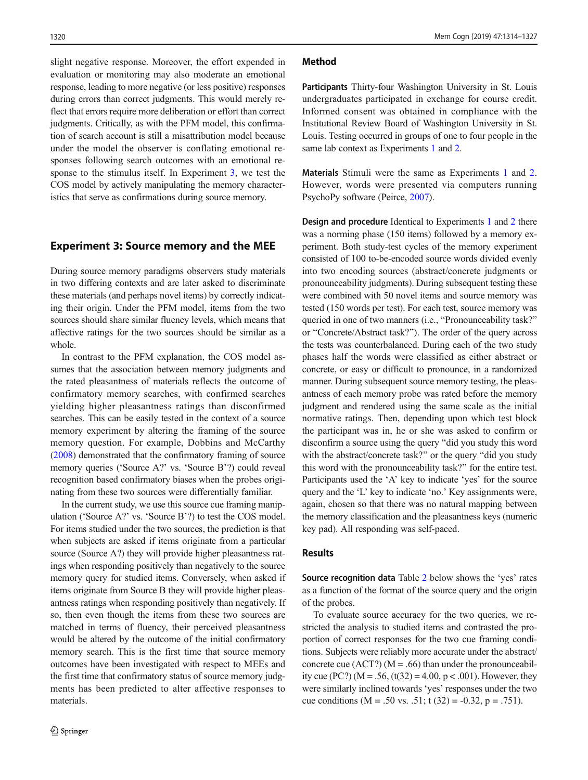<span id="page-6-0"></span>slight negative response. Moreover, the effort expended in evaluation or monitoring may also moderate an emotional response, leading to more negative (or less positive) responses during errors than correct judgments. This would merely reflect that errors require more deliberation or effort than correct judgments. Critically, as with the PFM model, this confirmation of search account is still a misattribution model because under the model the observer is conflating emotional responses following search outcomes with an emotional response to the stimulus itself. In Experiment 3, we test the COS model by actively manipulating the memory characteristics that serve as confirmations during source memory.

# Experiment 3: Source memory and the MEE

During source memory paradigms observers study materials in two differing contexts and are later asked to discriminate these materials (and perhaps novel items) by correctly indicating their origin. Under the PFM model, items from the two sources should share similar fluency levels, which means that affective ratings for the two sources should be similar as a whole.

In contrast to the PFM explanation, the COS model assumes that the association between memory judgments and the rated pleasantness of materials reflects the outcome of confirmatory memory searches, with confirmed searches yielding higher pleasantness ratings than disconfirmed searches. This can be easily tested in the context of a source memory experiment by altering the framing of the source memory question. For example, Dobbins and McCarthy [\(2008\)](#page-13-0) demonstrated that the confirmatory framing of source memory queries ('Source A?' vs. 'Source B'?) could reveal recognition based confirmatory biases when the probes originating from these two sources were differentially familiar.

In the current study, we use this source cue framing manipulation ('Source A?' vs. 'Source B'?) to test the COS model. For items studied under the two sources, the prediction is that when subjects are asked if items originate from a particular source (Source A?) they will provide higher pleasantness ratings when responding positively than negatively to the source memory query for studied items. Conversely, when asked if items originate from Source B they will provide higher pleasantness ratings when responding positively than negatively. If so, then even though the items from these two sources are matched in terms of fluency, their perceived pleasantness would be altered by the outcome of the initial confirmatory memory search. This is the first time that source memory outcomes have been investigated with respect to MEEs and the first time that confirmatory status of source memory judgments has been predicted to alter affective responses to materials.

#### Method

Participants Thirty-four Washington University in St. Louis undergraduates participated in exchange for course credit. Informed consent was obtained in compliance with the Institutional Review Board of Washington University in St. Louis. Testing occurred in groups of one to four people in the same lab context as Experiments [1](#page-1-0) and [2.](#page-3-0)

Materials Stimuli were the same as Experiments [1](#page-1-0) and [2.](#page-3-0) However, words were presented via computers running PsychoPy software (Peirce, [2007\)](#page-13-0).

Design and procedure Identical to Experiments [1](#page-1-0) and [2](#page-3-0) there was a norming phase (150 items) followed by a memory experiment. Both study-test cycles of the memory experiment consisted of 100 to-be-encoded source words divided evenly into two encoding sources (abstract/concrete judgments or pronounceability judgments). During subsequent testing these were combined with 50 novel items and source memory was tested (150 words per test). For each test, source memory was queried in one of two manners (i.e., "Pronounceability task?" or "Concrete/Abstract task?"). The order of the query across the tests was counterbalanced. During each of the two study phases half the words were classified as either abstract or concrete, or easy or difficult to pronounce, in a randomized manner. During subsequent source memory testing, the pleasantness of each memory probe was rated before the memory judgment and rendered using the same scale as the initial normative ratings. Then, depending upon which test block the participant was in, he or she was asked to confirm or disconfirm a source using the query "did you study this word with the abstract/concrete task?" or the query "did you study this word with the pronounceability task?^ for the entire test. Participants used the 'A' key to indicate 'yes' for the source query and the 'L' key to indicate 'no.' Key assignments were, again, chosen so that there was no natural mapping between the memory classification and the pleasantness keys (numeric key pad). All responding was self-paced.

#### Results

Source recognition data Table [2](#page-7-0) below shows the 'yes' rates as a function of the format of the source query and the origin of the probes.

To evaluate source accuracy for the two queries, we restricted the analysis to studied items and contrasted the proportion of correct responses for the two cue framing conditions. Subjects were reliably more accurate under the abstract/ concrete cue (ACT?) ( $M = .66$ ) than under the pronounceability cue (PC?) ( $M = .56$ , (t(32) = 4.00, p < .001). However, they were similarly inclined towards 'yes' responses under the two cue conditions (M = .50 vs. .51; t (32) =  $-0.32$ , p = .751).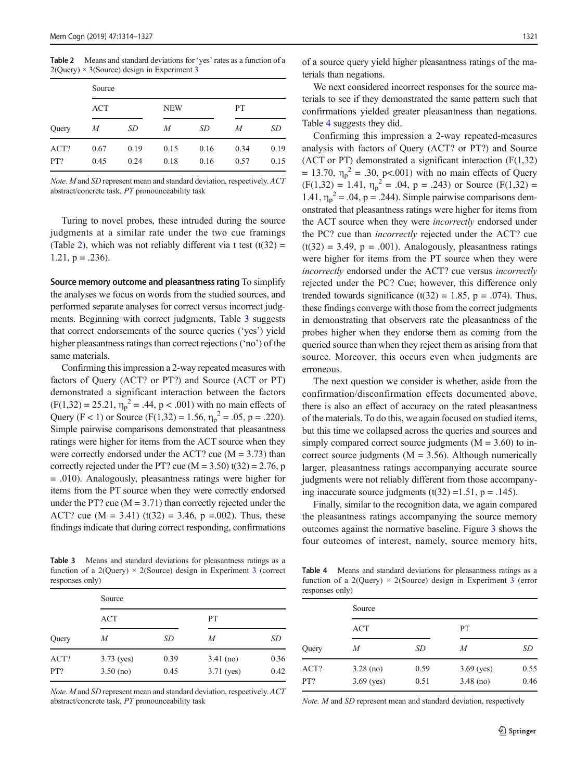<span id="page-7-0"></span>Table 2 Means and standard deviations for 'yes' rates as a function of a  $2$ (Query)  $\times$  [3](#page-6-0)(Source) design in Experiment 3

| Query       | Source       |              |              |              |              |              |  |
|-------------|--------------|--------------|--------------|--------------|--------------|--------------|--|
|             | ACT          |              | <b>NEW</b>   |              | PТ           |              |  |
|             | М            | SD           | M            | SD           | M            | SD           |  |
| ACT?<br>PT? | 0.67<br>0.45 | 0.19<br>0.24 | 0.15<br>0.18 | 0.16<br>0.16 | 0.34<br>0.57 | 0.19<br>0.15 |  |

Note. M and SD represent mean and standard deviation, respectively. ACT abstract/concrete task, PT pronounceability task

Turing to novel probes, these intruded during the source judgments at a similar rate under the two cue framings (Table 2), which was not reliably different via t test  $(t(32) =$  $1.21$ ,  $p = .236$ ).

Source memory outcome and pleasantness rating To simplify the analyses we focus on words from the studied sources, and performed separate analyses for correct versus incorrect judgments. Beginning with correct judgments, Table 3 suggests that correct endorsements of the source queries ('yes') yield higher pleasantness ratings than correct rejections ('no') of the same materials.

Confirming this impression a 2-way repeated measures with factors of Query (ACT? or PT?) and Source (ACT or PT) demonstrated a significant interaction between the factors  $(F(1,32) = 25.21, \eta_p^2 = .44, p < .001)$  with no main effects of Query (F < 1) or Source (F(1,32) = 1.56,  $\eta_p^2 = .05$ , p = .220). Simple pairwise comparisons demonstrated that pleasantness ratings were higher for items from the ACT source when they were correctly endorsed under the ACT? cue  $(M = 3.73)$  than correctly rejected under the PT? cue ( $M = 3.50$ ) t(32) = 2.76, p = .010). Analogously, pleasantness ratings were higher for items from the PT source when they were correctly endorsed under the PT? cue ( $M = 3.71$ ) than correctly rejected under the ACT? cue (M = 3.41) (t(32) = 3.46, p = 0.02). Thus, these findings indicate that during correct responding, confirmations

Table 3 Means and standard deviations for pleasantness ratings as a function of a 2(Query)  $\times$  2(Source) design in Experiment [3](#page-6-0) (correct responses only)

| Query       | Source                      |              |                             |              |  |  |
|-------------|-----------------------------|--------------|-----------------------------|--------------|--|--|
|             | ACT                         |              | PT                          |              |  |  |
|             | M                           | SD           | M                           | SD           |  |  |
| ACT?<br>PT? | $3.73$ (yes)<br>$3.50$ (no) | 0.39<br>0.45 | $3.41$ (no)<br>$3.71$ (yes) | 0.36<br>0.42 |  |  |

Note. M and SD represent mean and standard deviation, respectively. ACT abstract/concrete task, PT pronounceability task

of a source query yield higher pleasantness ratings of the materials than negations.

We next considered incorrect responses for the source materials to see if they demonstrated the same pattern such that confirmations yielded greater pleasantness than negations. Table 4 suggests they did.

Confirming this impression a 2-way repeated-measures analysis with factors of Query (ACT? or PT?) and Source (ACT or PT) demonstrated a significant interaction (F(1,32) = 13.70,  $\eta_p^2$  = .30, p<.001) with no main effects of Query  $(F(1,32) = 1.41, \eta_p^2 = .04, p = .243)$  or Source  $(F(1,32) =$ 1.41,  $\eta_p^2$  = .04, p = .244). Simple pairwise comparisons demonstrated that pleasantness ratings were higher for items from the ACT source when they were incorrectly endorsed under the PC? cue than incorrectly rejected under the ACT? cue  $(t(32) = 3.49, p = .001)$ . Analogously, pleasantness ratings were higher for items from the PT source when they were incorrectly endorsed under the ACT? cue versus incorrectly rejected under the PC? Cue; however, this difference only trended towards significance (t(32) = 1.85, p = .074). Thus, these findings converge with those from the correct judgments in demonstrating that observers rate the pleasantness of the probes higher when they endorse them as coming from the queried source than when they reject them as arising from that source. Moreover, this occurs even when judgments are erroneous.

The next question we consider is whether, aside from the confirmation/disconfirmation effects documented above, there is also an effect of accuracy on the rated pleasantness of the materials. To do this, we again focused on studied items, but this time we collapsed across the queries and sources and simply compared correct source judgments  $(M = 3.60)$  to incorrect source judgments ( $M = 3.56$ ). Although numerically larger, pleasantness ratings accompanying accurate source judgments were not reliably different from those accompanying inaccurate source judgments (t(32) = 1.51, p = .145).

Finally, similar to the recognition data, we again compared the pleasantness ratings accompanying the source memory outcomes against the normative baseline. Figure [3](#page-8-0) shows the four outcomes of interest, namely, source memory hits,

Table 4 Means and standard deviations for pleasantness ratings as a function of a 2(Query)  $\times$  2(Source) design in Experiment [3](#page-6-0) (error responses only)

| Query       | Source                      |              |                             |              |  |  |
|-------------|-----------------------------|--------------|-----------------------------|--------------|--|--|
|             | ACT                         |              | PТ                          |              |  |  |
|             | M                           | SD           | M                           | SD           |  |  |
| ACT?<br>PT? | $3.28$ (no)<br>$3.69$ (yes) | 0.59<br>0.51 | $3.69$ (yes)<br>$3.48$ (no) | 0.55<br>0.46 |  |  |

Note. M and SD represent mean and standard deviation, respectively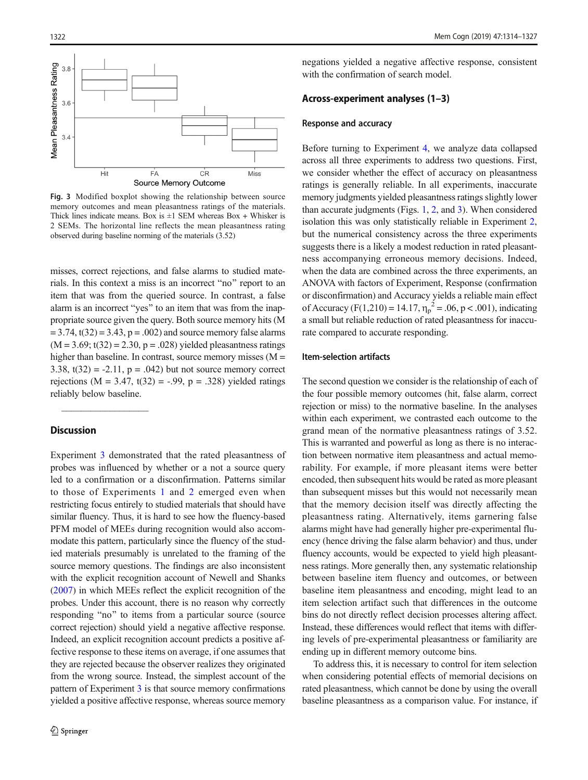<span id="page-8-0"></span>

Fig. 3 Modified boxplot showing the relationship between source memory outcomes and mean pleasantness ratings of the materials. Thick lines indicate means. Box is  $\pm 1$  SEM whereas Box + Whisker is 2 SEMs. The horizontal line reflects the mean pleasantness rating observed during baseline norming of the materials (3.52)

misses, correct rejections, and false alarms to studied materials. In this context a miss is an incorrect "no" report to an item that was from the queried source. In contrast, a false alarm is an incorrect "yes" to an item that was from the inappropriate source given the query. Both source memory hits (M  $= 3.74$ , t(32)  $= 3.43$ ,  $p = .002$ ) and source memory false alarms  $(M = 3.69$ ;  $t(32) = 2.30$ ,  $p = .028$ ) yielded pleasantness ratings higher than baseline. In contrast, source memory misses  $(M =$ 3.38,  $t(32) = -2.11$ ,  $p = .042$ ) but not source memory correct rejections ( $M = 3.47$ ,  $t(32) = -.99$ ,  $p = .328$ ) yielded ratings reliably below baseline.

# **Discussion**

 $\mathcal{L}=\mathcal{L}^{\mathcal{L}}$ 

Experiment [3](#page-6-0) demonstrated that the rated pleasantness of probes was influenced by whether or a not a source query led to a confirmation or a disconfirmation. Patterns similar to those of Experiments [1](#page-1-0) and [2](#page-3-0) emerged even when restricting focus entirely to studied materials that should have similar fluency. Thus, it is hard to see how the fluency-based PFM model of MEEs during recognition would also accommodate this pattern, particularly since the fluency of the studied materials presumably is unrelated to the framing of the source memory questions. The findings are also inconsistent with the explicit recognition account of Newell and Shanks [\(2007\)](#page-13-0) in which MEEs reflect the explicit recognition of the probes. Under this account, there is no reason why correctly responding "no" to items from a particular source (source correct rejection) should yield a negative affective response. Indeed, an explicit recognition account predicts a positive affective response to these items on average, if one assumes that they are rejected because the observer realizes they originated from the wrong source. Instead, the simplest account of the pattern of Experiment [3](#page-6-0) is that source memory confirmations yielded a positive affective response, whereas source memory

negations yielded a negative affective response, consistent with the confirmation of search model.

#### Across-experiment analyses (1–3)

#### Response and accuracy

Before turning to Experiment [4](#page-9-0), we analyze data collapsed across all three experiments to address two questions. First, we consider whether the effect of accuracy on pleasantness ratings is generally reliable. In all experiments, inaccurate memory judgments yielded pleasantness ratings slightly lower than accurate judgments (Figs. [1](#page-2-0), [2](#page-5-0), and 3). When considered isolation this was only statistically reliable in Experiment [2,](#page-3-0) but the numerical consistency across the three experiments suggests there is a likely a modest reduction in rated pleasantness accompanying erroneous memory decisions. Indeed, when the data are combined across the three experiments, an ANOVA with factors of Experiment, Response (confirmation or disconfirmation) and Accuracy yields a reliable main effect of Accuracy (F(1,210) = 14.17,  $\eta_p^2 = .06$ , p < .001), indicating a small but reliable reduction of rated pleasantness for inaccurate compared to accurate responding.

## Item-selection artifacts

The second question we consider is the relationship of each of the four possible memory outcomes (hit, false alarm, correct rejection or miss) to the normative baseline. In the analyses within each experiment, we contrasted each outcome to the grand mean of the normative pleasantness ratings of 3.52. This is warranted and powerful as long as there is no interaction between normative item pleasantness and actual memorability. For example, if more pleasant items were better encoded, then subsequent hits would be rated as more pleasant than subsequent misses but this would not necessarily mean that the memory decision itself was directly affecting the pleasantness rating. Alternatively, items garnering false alarms might have had generally higher pre-experimental fluency (hence driving the false alarm behavior) and thus, under fluency accounts, would be expected to yield high pleasantness ratings. More generally then, any systematic relationship between baseline item fluency and outcomes, or between baseline item pleasantness and encoding, might lead to an item selection artifact such that differences in the outcome bins do not directly reflect decision processes altering affect. Instead, these differences would reflect that items with differing levels of pre-experimental pleasantness or familiarity are ending up in different memory outcome bins.

To address this, it is necessary to control for item selection when considering potential effects of memorial decisions on rated pleasantness, which cannot be done by using the overall baseline pleasantness as a comparison value. For instance, if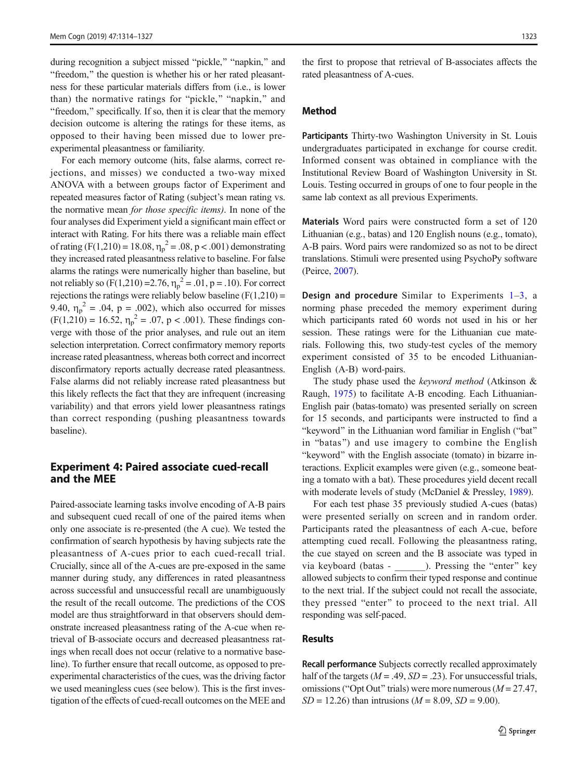<span id="page-9-0"></span>during recognition a subject missed "pickle," "napkin," and "freedom," the question is whether his or her rated pleasantness for these particular materials differs from (i.e., is lower than) the normative ratings for "pickle," "napkin," and "freedom," specifically. If so, then it is clear that the memory decision outcome is altering the ratings for these items, as opposed to their having been missed due to lower preexperimental pleasantness or familiarity.

For each memory outcome (hits, false alarms, correct rejections, and misses) we conducted a two-way mixed ANOVA with a between groups factor of Experiment and repeated measures factor of Rating (subject's mean rating vs. the normative mean *for those specific items*). In none of the four analyses did Experiment yield a significant main effect or interact with Rating. For hits there was a reliable main effect of rating (F(1,210) = 18.08,  $\eta_p^2 = .08$ , p < .001) demonstrating they increased rated pleasantness relative to baseline. For false alarms the ratings were numerically higher than baseline, but not reliably so  $(F(1,210)=2.76, \eta_p^2=.01, p=.10)$ . For correct rejections the ratings were reliably below baseline  $(F(1,210) =$ 9.40,  $\eta_p^2 = 0.04$ ,  $p = 0.002$ ), which also occurred for misses  $(F(1,210) = 16.52, \eta_p^2 = .07, p < .001)$ . These findings converge with those of the prior analyses, and rule out an item selection interpretation. Correct confirmatory memory reports increase rated pleasantness, whereas both correct and incorrect disconfirmatory reports actually decrease rated pleasantness. False alarms did not reliably increase rated pleasantness but this likely reflects the fact that they are infrequent (increasing variability) and that errors yield lower pleasantness ratings than correct responding (pushing pleasantness towards baseline).

# Experiment 4: Paired associate cued-recall and the MEE

Paired-associate learning tasks involve encoding of A-B pairs and subsequent cued recall of one of the paired items when only one associate is re-presented (the A cue). We tested the confirmation of search hypothesis by having subjects rate the pleasantness of A-cues prior to each cued-recall trial. Crucially, since all of the A-cues are pre-exposed in the same manner during study, any differences in rated pleasantness across successful and unsuccessful recall are unambiguously the result of the recall outcome. The predictions of the COS model are thus straightforward in that observers should demonstrate increased pleasantness rating of the A-cue when retrieval of B-associate occurs and decreased pleasantness ratings when recall does not occur (relative to a normative baseline). To further ensure that recall outcome, as opposed to preexperimental characteristics of the cues, was the driving factor we used meaningless cues (see below). This is the first investigation of the effects of cued-recall outcomes on the MEE and

the first to propose that retrieval of B-associates affects the rated pleasantness of A-cues.

## Method

Participants Thirty-two Washington University in St. Louis undergraduates participated in exchange for course credit. Informed consent was obtained in compliance with the Institutional Review Board of Washington University in St. Louis. Testing occurred in groups of one to four people in the same lab context as all previous Experiments.

Materials Word pairs were constructed form a set of 120 Lithuanian (e.g., batas) and 120 English nouns (e.g., tomato), A-B pairs. Word pairs were randomized so as not to be direct translations. Stimuli were presented using PsychoPy software (Peirce, [2007\)](#page-13-0).

**Design and procedure** Similar to Experiments  $1-3$  $1-3$ , a norming phase preceded the memory experiment during which participants rated 60 words not used in his or her session. These ratings were for the Lithuanian cue materials. Following this, two study-test cycles of the memory experiment consisted of 35 to be encoded Lithuanian-English (A-B) word-pairs.

The study phase used the *keyword method* (Atkinson & Raugh, [1975\)](#page-12-0) to facilitate A-B encoding. Each Lithuanian-English pair (batas-tomato) was presented serially on screen for 15 seconds, and participants were instructed to find a "keyword" in the Lithuanian word familiar in English ("bat" in "batas") and use imagery to combine the English "keyword" with the English associate (tomato) in bizarre interactions. Explicit examples were given (e.g., someone beating a tomato with a bat). These procedures yield decent recall with moderate levels of study (McDaniel & Pressley, [1989](#page-13-0)).

For each test phase 35 previously studied A-cues (batas) were presented serially on screen and in random order. Participants rated the pleasantness of each A-cue, before attempting cued recall. Following the pleasantness rating, the cue stayed on screen and the B associate was typed in via keyboard (batas - \_\_\_\_\_\_\_). Pressing the "enter" key allowed subjects to confirm their typed response and continue to the next trial. If the subject could not recall the associate, they pressed "enter" to proceed to the next trial. All responding was self-paced.

## Results

Recall performance Subjects correctly recalled approximately half of the targets ( $M = .49$ ,  $SD = .23$ ). For unsuccessful trials, omissions ("Opt Out" trials) were more numerous ( $M = 27.47$ ,  $SD = 12.26$ ) than intrusions ( $M = 8.09$ ,  $SD = 9.00$ ).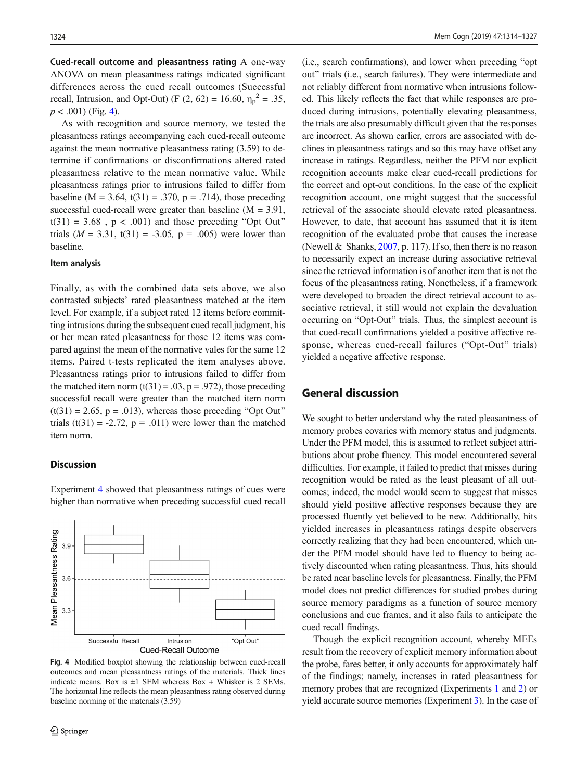<span id="page-10-0"></span>Cued-recall outcome and pleasantness rating A one-way ANOVA on mean pleasantness ratings indicated significant differences across the cued recall outcomes (Successful recall, Intrusion, and Opt-Out) (F (2, 62) = 16.60,  $\eta_p^2 = .35$ ,  $p < .001$ ) (Fig. 4).

As with recognition and source memory, we tested the pleasantness ratings accompanying each cued-recall outcome against the mean normative pleasantness rating (3.59) to determine if confirmations or disconfirmations altered rated pleasantness relative to the mean normative value. While pleasantness ratings prior to intrusions failed to differ from baseline (M = 3.64, t(31) = .370, p = .714), those preceding successful cued-recall were greater than baseline  $(M = 3.91,$  $t(31) = 3.68$ ,  $p < .001$ ) and those preceding "Opt Out" trials  $(M = 3.31, t(31) = -3.05, p = .005)$  were lower than baseline.

#### Item analysis

Finally, as with the combined data sets above, we also contrasted subjects' rated pleasantness matched at the item level. For example, if a subject rated 12 items before committing intrusions during the subsequent cued recall judgment, his or her mean rated pleasantness for those 12 items was compared against the mean of the normative vales for the same 12 items. Paired t-tests replicated the item analyses above. Pleasantness ratings prior to intrusions failed to differ from the matched item norm  $(t(31) = .03, p = .972)$ , those preceding successful recall were greater than the matched item norm  $(t(31) = 2.65, p = .013)$ , whereas those preceding "Opt Out" trials (t(31) = -2.72,  $p = .011$ ) were lower than the matched item norm.

## **Discussion**

Mean Pleasantness Rating

 $3.9$ 

 $3.6$ 

 $3.3$ 

Successful Recall

Experiment [4](#page-9-0) showed that pleasantness ratings of cues were higher than normative when preceding successful cued recall

\_\_\_\_\_\_\_\_\_\_\_\_\_\_\_

Intrusion **Cued-Recall Outcome**  "Opt Out"



(i.e., search confirmations), and lower when preceding "opt" out" trials (i.e., search failures). They were intermediate and not reliably different from normative when intrusions followed. This likely reflects the fact that while responses are produced during intrusions, potentially elevating pleasantness, the trials are also presumably difficult given that the responses are incorrect. As shown earlier, errors are associated with declines in pleasantness ratings and so this may have offset any increase in ratings. Regardless, neither the PFM nor explicit recognition accounts make clear cued-recall predictions for the correct and opt-out conditions. In the case of the explicit recognition account, one might suggest that the successful retrieval of the associate should elevate rated pleasantness. However, to date, that account has assumed that it is item recognition of the evaluated probe that causes the increase (Newell & Shanks, [2007,](#page-13-0) p. 117). If so, then there is no reason to necessarily expect an increase during associative retrieval since the retrieved information is of another item that is not the focus of the pleasantness rating. Nonetheless, if a framework were developed to broaden the direct retrieval account to associative retrieval, it still would not explain the devaluation occurring on "Opt-Out" trials. Thus, the simplest account is that cued-recall confirmations yielded a positive affective response, whereas cued-recall failures ("Opt-Out" trials) yielded a negative affective response.

# General discussion

We sought to better understand why the rated pleasantness of memory probes covaries with memory status and judgments. Under the PFM model, this is assumed to reflect subject attributions about probe fluency. This model encountered several difficulties. For example, it failed to predict that misses during recognition would be rated as the least pleasant of all outcomes; indeed, the model would seem to suggest that misses should yield positive affective responses because they are processed fluently yet believed to be new. Additionally, hits yielded increases in pleasantness ratings despite observers correctly realizing that they had been encountered, which under the PFM model should have led to fluency to being actively discounted when rating pleasantness. Thus, hits should be rated near baseline levels for pleasantness. Finally, the PFM model does not predict differences for studied probes during source memory paradigms as a function of source memory conclusions and cue frames, and it also fails to anticipate the cued recall findings.

Though the explicit recognition account, whereby MEEs result from the recovery of explicit memory information about the probe, fares better, it only accounts for approximately half of the findings; namely, increases in rated pleasantness for memory probes that are recognized (Experiments [1](#page-1-0) and [2](#page-3-0)) or yield accurate source memories (Experiment [3](#page-6-0)). In the case of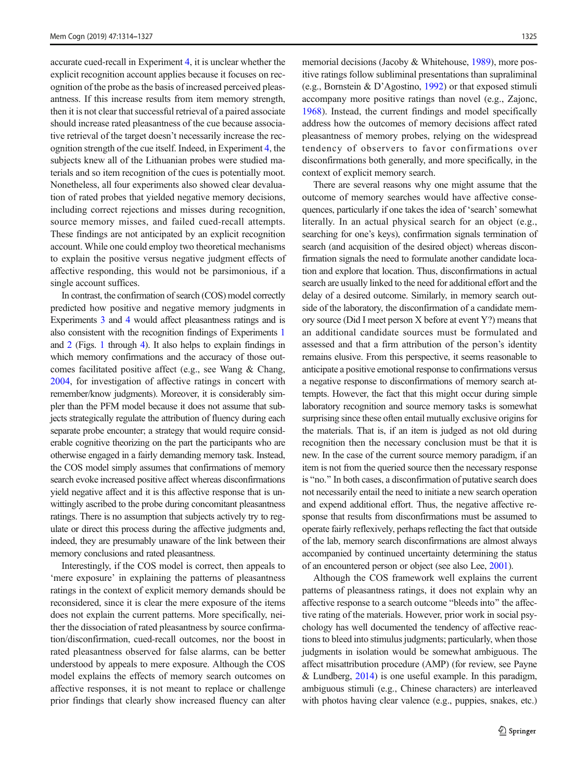accurate cued-recall in Experiment [4](#page-9-0), it is unclear whether the explicit recognition account applies because it focuses on recognition of the probe as the basis of increased perceived pleasantness. If this increase results from item memory strength, then it is not clear that successful retrieval of a paired associate should increase rated pleasantness of the cue because associative retrieval of the target doesn't necessarily increase the recognition strength of the cue itself. Indeed, in Experiment [4,](#page-9-0) the subjects knew all of the Lithuanian probes were studied materials and so item recognition of the cues is potentially moot. Nonetheless, all four experiments also showed clear devaluation of rated probes that yielded negative memory decisions, including correct rejections and misses during recognition, source memory misses, and failed cued-recall attempts. These findings are not anticipated by an explicit recognition account. While one could employ two theoretical mechanisms to explain the positive versus negative judgment effects of affective responding, this would not be parsimonious, if a single account suffices.

In contrast, the confirmation of search (COS) model correctly predicted how positive and negative memory judgments in Experiments [3](#page-6-0) and [4](#page-9-0) would affect pleasantness ratings and is also consistent with the recognition findings of Experiments [1](#page-1-0) and [2](#page-3-0) (Figs. [1](#page-2-0) through [4\)](#page-10-0). It also helps to explain findings in which memory confirmations and the accuracy of those outcomes facilitated positive affect (e.g., see Wang & Chang, [2004,](#page-13-0) for investigation of affective ratings in concert with remember/know judgments). Moreover, it is considerably simpler than the PFM model because it does not assume that subjects strategically regulate the attribution of fluency during each separate probe encounter; a strategy that would require considerable cognitive theorizing on the part the participants who are otherwise engaged in a fairly demanding memory task. Instead, the COS model simply assumes that confirmations of memory search evoke increased positive affect whereas disconfirmations yield negative affect and it is this affective response that is unwittingly ascribed to the probe during concomitant pleasantness ratings. There is no assumption that subjects actively try to regulate or direct this process during the affective judgments and, indeed, they are presumably unaware of the link between their memory conclusions and rated pleasantness.

Interestingly, if the COS model is correct, then appeals to 'mere exposure' in explaining the patterns of pleasantness ratings in the context of explicit memory demands should be reconsidered, since it is clear the mere exposure of the items does not explain the current patterns. More specifically, neither the dissociation of rated pleasantness by source confirmation/disconfirmation, cued-recall outcomes, nor the boost in rated pleasantness observed for false alarms, can be better understood by appeals to mere exposure. Although the COS model explains the effects of memory search outcomes on affective responses, it is not meant to replace or challenge prior findings that clearly show increased fluency can alter memorial decisions (Jacoby & Whitehouse, [1989](#page-13-0)), more positive ratings follow subliminal presentations than supraliminal (e.g., Bornstein & D'Agostino, [1992](#page-12-0)) or that exposed stimuli accompany more positive ratings than novel (e.g., Zajonc, [1968\)](#page-13-0). Instead, the current findings and model specifically address how the outcomes of memory decisions affect rated pleasantness of memory probes, relying on the widespread tendency of observers to favor confirmations over disconfirmations both generally, and more specifically, in the context of explicit memory search.

There are several reasons why one might assume that the outcome of memory searches would have affective consequences, particularly if one takes the idea of 'search'somewhat literally. In an actual physical search for an object (e.g., searching for one's keys), confirmation signals termination of search (and acquisition of the desired object) whereas disconfirmation signals the need to formulate another candidate location and explore that location. Thus, disconfirmations in actual search are usually linked to the need for additional effort and the delay of a desired outcome. Similarly, in memory search outside of the laboratory, the disconfirmation of a candidate memory source (Did I meet person X before at event Y?) means that an additional candidate sources must be formulated and assessed and that a firm attribution of the person's identity remains elusive. From this perspective, it seems reasonable to anticipate a positive emotional response to confirmations versus a negative response to disconfirmations of memory search attempts. However, the fact that this might occur during simple laboratory recognition and source memory tasks is somewhat surprising since these often entail mutually exclusive origins for the materials. That is, if an item is judged as not old during recognition then the necessary conclusion must be that it is new. In the case of the current source memory paradigm, if an item is not from the queried source then the necessary response is "no." In both cases, a disconfirmation of putative search does not necessarily entail the need to initiate a new search operation and expend additional effort. Thus, the negative affective response that results from disconfirmations must be assumed to operate fairly reflexively, perhaps reflecting the fact that outside of the lab, memory search disconfirmations are almost always accompanied by continued uncertainty determining the status of an encountered person or object (see also Lee, [2001\)](#page-13-0).

Although the COS framework well explains the current patterns of pleasantness ratings, it does not explain why an affective response to a search outcome "bleeds into" the affective rating of the materials. However, prior work in social psychology has well documented the tendency of affective reactions to bleed into stimulus judgments; particularly, when those judgments in isolation would be somewhat ambiguous. The affect misattribution procedure (AMP) (for review, see Payne & Lundberg, [2014](#page-13-0)) is one useful example. In this paradigm, ambiguous stimuli (e.g., Chinese characters) are interleaved with photos having clear valence (e.g., puppies, snakes, etc.)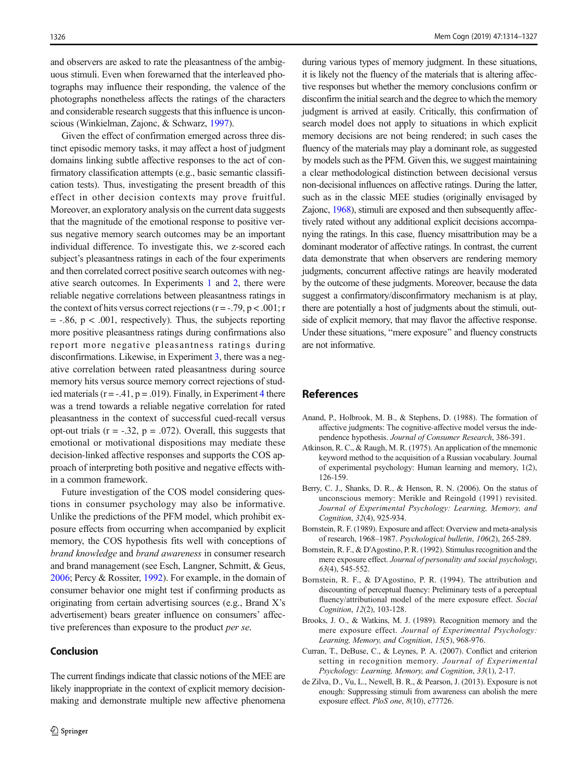<span id="page-12-0"></span>and observers are asked to rate the pleasantness of the ambiguous stimuli. Even when forewarned that the interleaved photographs may influence their responding, the valence of the photographs nonetheless affects the ratings of the characters and considerable research suggests that this influence is unconscious (Winkielman, Zajonc, & Schwarz, [1997\)](#page-13-0).

Given the effect of confirmation emerged across three distinct episodic memory tasks, it may affect a host of judgment domains linking subtle affective responses to the act of confirmatory classification attempts (e.g., basic semantic classification tests). Thus, investigating the present breadth of this effect in other decision contexts may prove fruitful. Moreover, an exploratory analysis on the current data suggests that the magnitude of the emotional response to positive versus negative memory search outcomes may be an important individual difference. To investigate this, we z-scored each subject's pleasantness ratings in each of the four experiments and then correlated correct positive search outcomes with negative search outcomes. In Experiments [1](#page-1-0) and [2](#page-3-0), there were reliable negative correlations between pleasantness ratings in the context of hits versus correct rejections ( $r = -0.79$ ,  $p < 0.01$ ; r  $= -0.86$ ,  $p < 0.001$ , respectively). Thus, the subjects reporting more positive pleasantness ratings during confirmations also report more negative pleasantness ratings during disconfirmations. Likewise, in Experiment [3](#page-6-0), there was a negative correlation between rated pleasantness during source memory hits versus source memory correct rejections of studied materials  $(r = -.41, p = .019)$  $(r = -.41, p = .019)$  $(r = -.41, p = .019)$ . Finally, in Experiment 4 there was a trend towards a reliable negative correlation for rated pleasantness in the context of successful cued-recall versus opt-out trials  $(r = -.32, p = .072)$ . Overall, this suggests that emotional or motivational dispositions may mediate these decision-linked affective responses and supports the COS approach of interpreting both positive and negative effects within a common framework.

Future investigation of the COS model considering questions in consumer psychology may also be informative. Unlike the predictions of the PFM model, which prohibit exposure effects from occurring when accompanied by explicit memory, the COS hypothesis fits well with conceptions of brand knowledge and brand awareness in consumer research and brand management (see Esch, Langner, Schmitt, & Geus, [2006;](#page-13-0) Percy & Rossiter, [1992\)](#page-13-0). For example, in the domain of consumer behavior one might test if confirming products as originating from certain advertising sources (e.g., Brand X's advertisement) bears greater influence on consumers' affective preferences than exposure to the product *per se*.

## Conclusion

The current findings indicate that classic notions of the MEE are likely inappropriate in the context of explicit memory decisionmaking and demonstrate multiple new affective phenomena during various types of memory judgment. In these situations, it is likely not the fluency of the materials that is altering affective responses but whether the memory conclusions confirm or disconfirm the initial search and the degree to which the memory judgment is arrived at easily. Critically, this confirmation of search model does not apply to situations in which explicit memory decisions are not being rendered; in such cases the fluency of the materials may play a dominant role, as suggested by models such as the PFM. Given this, we suggest maintaining a clear methodological distinction between decisional versus non-decisional influences on affective ratings. During the latter, such as in the classic MEE studies (originally envisaged by Zajonc, [1968\)](#page-13-0), stimuli are exposed and then subsequently affectively rated without any additional explicit decisions accompanying the ratings. In this case, fluency misattribution may be a dominant moderator of affective ratings. In contrast, the current data demonstrate that when observers are rendering memory judgments, concurrent affective ratings are heavily moderated by the outcome of these judgments. Moreover, because the data suggest a confirmatory/disconfirmatory mechanism is at play, there are potentially a host of judgments about the stimuli, outside of explicit memory, that may flavor the affective response. Under these situations, "mere exposure" and fluency constructs are not informative.

# References

- Anand, P., Holbrook, M. B., & Stephens, D. (1988). The formation of affective judgments: The cognitive-affective model versus the independence hypothesis. Journal of Consumer Research, 386-391.
- Atkinson, R. C., & Raugh, M. R. (1975). An application of the mnemonic keyword method to the acquisition of a Russian vocabulary. Journal of experimental psychology: Human learning and memory, 1(2), 126-159.
- Berry, C. J., Shanks, D. R., & Henson, R. N. (2006). On the status of unconscious memory: Merikle and Reingold (1991) revisited. Journal of Experimental Psychology: Learning, Memory, and Cognition, 32(4), 925-934.
- Bornstein, R. F. (1989). Exposure and affect: Overview and meta-analysis of research, 1968–1987. Psychological bulletin, 106(2), 265-289.
- Bornstein, R. F., & D'Agostino, P. R. (1992). Stimulus recognition and the mere exposure effect. Journal of personality and social psychology, 63(4), 545-552.
- Bornstein, R. F., & D'Agostino, P. R. (1994). The attribution and discounting of perceptual fluency: Preliminary tests of a perceptual fluency/attributional model of the mere exposure effect. Social Cognition, 12(2), 103-128.
- Brooks, J. O., & Watkins, M. J. (1989). Recognition memory and the mere exposure effect. Journal of Experimental Psychology: Learning, Memory, and Cognition, 15(5), 968-976.
- Curran, T., DeBuse, C., & Leynes, P. A. (2007). Conflict and criterion setting in recognition memory. Journal of Experimental Psychology: Learning, Memory, and Cognition, 33(1), 2-17.
- de Zilva, D., Vu, L., Newell, B. R., & Pearson, J. (2013). Exposure is not enough: Suppressing stimuli from awareness can abolish the mere exposure effect. PloS one, 8(10), e77726.